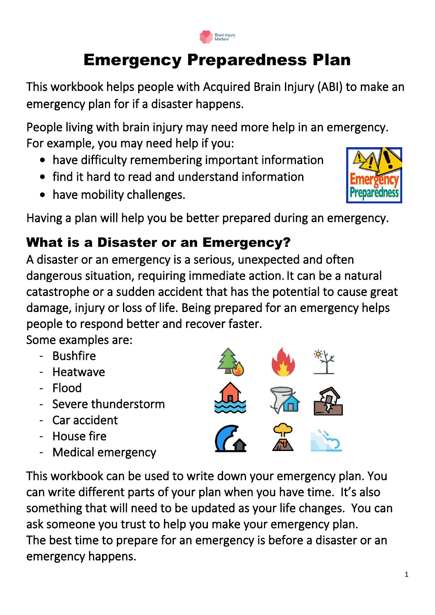# Emergency Preparedness Plan

This workbook helps people with Acquired Brain Injury (ABI) to make an emergency plan for if a disaster happens.

People living with brain injury may need more help in an emergency. For example, you may need help if you:

- have difficulty remembering important information
- find it hard to read and understand information
- have mobility challenges.

Having a plan will help you be better prepared during an emergency.

# What is a Disaster or an Emergency?

A disaster or an emergency is a serious, unexpected and often dangerous situation, requiring immediate action. It can be a natural catastrophe or a sudden accident that has the potential to cause great damage, injury or loss of life. Being prepared for an emergency helps people to respond better and recover faster.

Some examples are:

- Bushfire
- **Heatwave**
- Flood
- Severe thunderstorm
- Car accident
- House fire
- Medical emergency

This workbook can be used to write down your emergency plan. You can write different parts of your plan when you have time. It's also something that will need to be updated as your life changes. You can ask someone you trust to help you make your emergency plan. The best time to prepare for an emergency is before a disaster or an emergency happens.







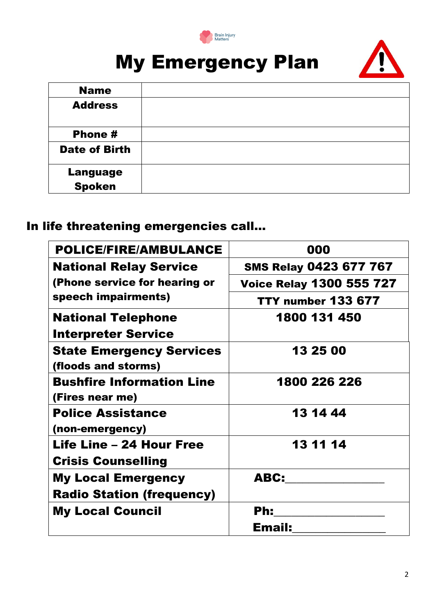

# My Emergency Plan



| <b>Name</b>                      |  |
|----------------------------------|--|
| <b>Address</b>                   |  |
| Phone #                          |  |
| <b>Date of Birth</b>             |  |
| <b>Language</b><br><b>Spoken</b> |  |

#### In life threatening emergencies call…

| <b>POLICE/FIRE/AMBULANCE</b>     | 000                             |  |
|----------------------------------|---------------------------------|--|
| <b>National Relay Service</b>    | <b>SMS Relay 0423 677 767</b>   |  |
| (Phone service for hearing or    | <b>Voice Relay 1300 555 727</b> |  |
| speech impairments)              | <b>TTY number 133 677</b>       |  |
| <b>National Telephone</b>        | 1800 131 450                    |  |
| <b>Interpreter Service</b>       |                                 |  |
| <b>State Emergency Services</b>  | 13 25 00                        |  |
| (floods and storms)              |                                 |  |
| <b>Bushfire Information Line</b> | 1800 226 226                    |  |
| (Fires near me)                  |                                 |  |
| <b>Police Assistance</b>         | 13 14 44                        |  |
| (non-emergency)                  |                                 |  |
| <b>Life Line - 24 Hour Free</b>  | 13 11 14                        |  |
| <b>Crisis Counselling</b>        |                                 |  |
| <b>My Local Emergency</b>        | ABC:                            |  |
| <b>Radio Station (frequency)</b> |                                 |  |
| <b>My Local Council</b>          | Ph:                             |  |
|                                  | Email:                          |  |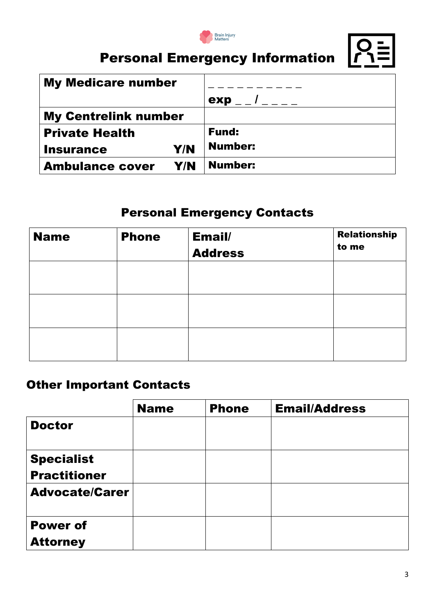

# Personal Emergency Information  $\boxed{O=}$



| <b>My Medicare number</b>     |                     |
|-------------------------------|---------------------|
|                               | $exp$ _ _ / _ _ _ _ |
| <b>My Centrelink number</b>   |                     |
| <b>Private Health</b>         | <b>Fund:</b>        |
| Y/N<br><b>Insurance</b>       | <b>Number:</b>      |
| Y/N<br><b>Ambulance cover</b> | <b>Number:</b>      |

#### Personal Emergency Contacts

| <b>Name</b> | <b>Phone</b> | Email/<br><b>Address</b> | <b>Relationship</b><br>to me |
|-------------|--------------|--------------------------|------------------------------|
|             |              |                          |                              |
|             |              |                          |                              |
|             |              |                          |                              |

#### Other Important Contacts

|                                    | <b>Name</b> | <b>Phone</b> | <b>Email/Address</b> |
|------------------------------------|-------------|--------------|----------------------|
| <b>Doctor</b>                      |             |              |                      |
| <b>Specialist</b>                  |             |              |                      |
| <b>Practitioner</b>                |             |              |                      |
| <b>Advocate/Carer</b>              |             |              |                      |
| <b>Power of</b><br><b>Attorney</b> |             |              |                      |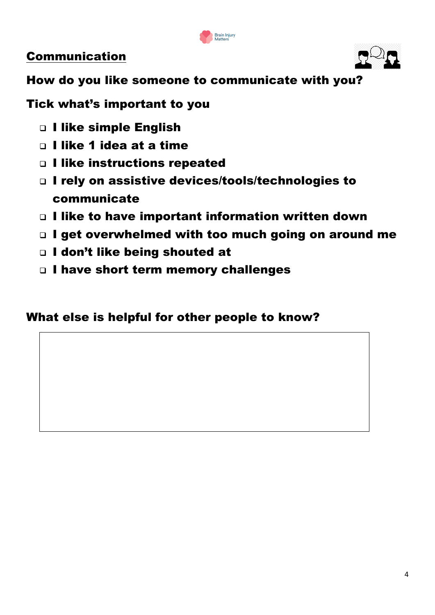

#### Communication



How do you like someone to communicate with you?

Tick what's important to you

- ❑ I like simple English
- □ I like 1 idea at a time
- ❑ I like instructions repeated
- ❑ I rely on assistive devices/tools/technologies to communicate
- ❑ I like to have important information written down
- ❑ I get overwhelmed with too much going on around me
- ❑ I don't like being shouted at
- ❑ I have short term memory challenges

#### What else is helpful for other people to know?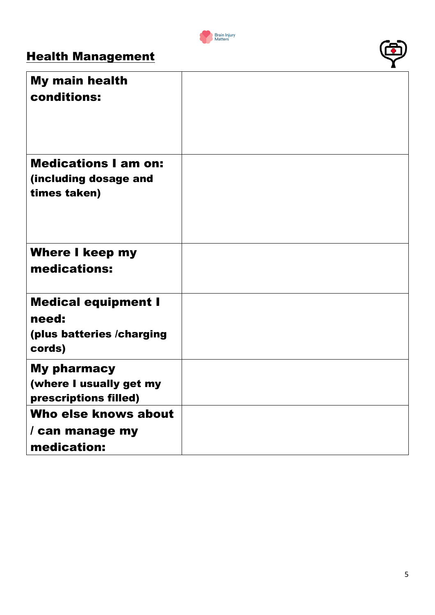

### **Health Management**

| <b>My main health</b><br>conditions:                                       |  |
|----------------------------------------------------------------------------|--|
| <b>Medications I am on:</b><br>(including dosage and<br>times taken)       |  |
| <b>Where I keep my</b><br>medications:                                     |  |
| <b>Medical equipment I</b><br>need:<br>(plus batteries /charging<br>cords) |  |
| <b>My pharmacy</b><br>(where I usually get my<br>prescriptions filled)     |  |
| Who else knows about<br>/ can manage my<br>medication:                     |  |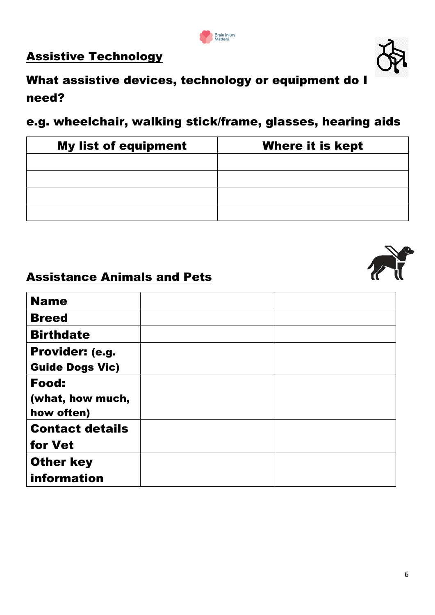

# Assistive Technology



#### e.g. wheelchair, walking stick/frame, glasses, hearing aids

| <b>My list of equipment</b> | <b>Where it is kept</b> |
|-----------------------------|-------------------------|
|                             |                         |
|                             |                         |
|                             |                         |
|                             |                         |

#### Assistance Animals and Pets

| <b>Name</b>                    |  |
|--------------------------------|--|
| <b>Breed</b>                   |  |
| <b>Birthdate</b>               |  |
| Provider: (e.g.                |  |
| <b>Guide Dogs Vic)</b>         |  |
| Food:                          |  |
| (what, how much,<br>how often) |  |
|                                |  |
| <b>Contact details</b>         |  |
| for Vet                        |  |
| <b>Other key</b>               |  |
| information                    |  |



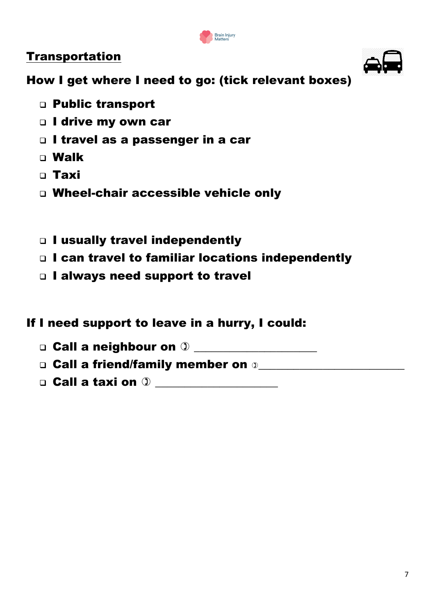

#### Transportation

How I get where I need to go: (tick relevant boxes)

- ❑ Public transport
- □ I drive my own car
- ❑ I travel as a passenger in a car
- ❑ Walk
- ❑ Taxi
- ❑ Wheel-chair accessible vehicle only
- ❑ I usually travel independently
- ❑ I can travel to familiar locations independently
- ❑ I always need support to travel

#### If I need support to leave in a hurry, I could:

 $\Box$  Call a neighbour on  $\Im$ 

□ Call a friend/family member on ①

❑ Call a taxi on \_\_\_\_\_\_\_\_\_\_\_\_\_\_\_\_\_\_\_\_\_

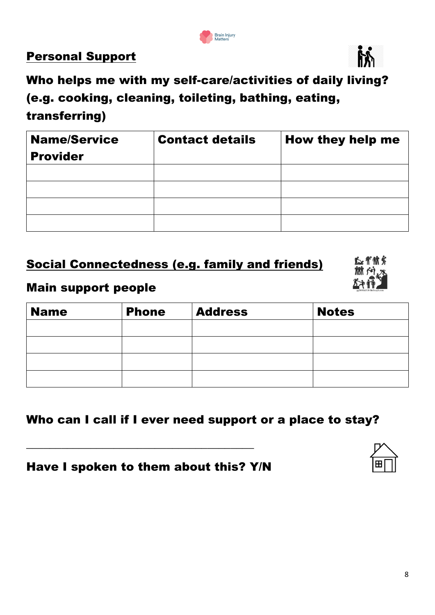#### Personal Support

Who helps me with my self-care/activities of daily living? (e.g. cooking, cleaning, toileting, bathing, eating, transferring)

| <b>Name/Service</b> | <b>Contact details</b> | How they help me |
|---------------------|------------------------|------------------|
| <b>Provider</b>     |                        |                  |
|                     |                        |                  |
|                     |                        |                  |
|                     |                        |                  |
|                     |                        |                  |

#### Social Connectedness (e.g. family and friends)

#### Main support people

| <b>Name</b> | <b>Phone</b> | <b>Address</b> | <b>Notes</b> |
|-------------|--------------|----------------|--------------|
|             |              |                |              |
|             |              |                |              |
|             |              |                |              |
|             |              |                |              |

#### Who can I call if I ever need support or a place to stay?

#### Have I spoken to them about this? Y/N

\_\_\_\_\_\_\_\_\_\_\_\_\_\_\_\_\_\_\_\_\_\_\_\_\_\_\_\_\_\_\_\_\_\_\_\_\_\_\_



心骨俯蒙



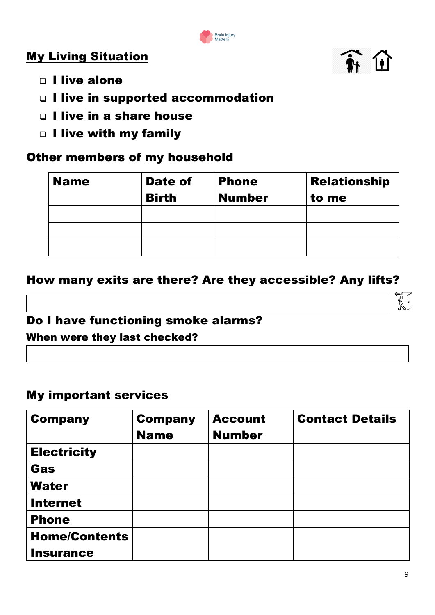

#### My Living Situation



- □ I live alone
- ❑ I live in supported accommodation
- □ I live in a share house
- ❑ I live with my family

#### Other members of my household

| <b>Name</b> | Date of<br><b>Birth</b> | <b>Phone</b><br><b>Number</b> | <b>Relationship</b><br>to me |
|-------------|-------------------------|-------------------------------|------------------------------|
|             |                         |                               |                              |
|             |                         |                               |                              |
|             |                         |                               |                              |

#### How many exits are there? Are they accessible? Any lifts?

# Do I have functioning smoke alarms?

When were they last checked?

#### My important services

| <b>Company</b>       | <b>Company</b><br><b>Name</b> | <b>Account</b><br><b>Number</b> | <b>Contact Details</b> |
|----------------------|-------------------------------|---------------------------------|------------------------|
| <b>Electricity</b>   |                               |                                 |                        |
| Gas                  |                               |                                 |                        |
| <b>Water</b>         |                               |                                 |                        |
| <b>Internet</b>      |                               |                                 |                        |
| <b>Phone</b>         |                               |                                 |                        |
| <b>Home/Contents</b> |                               |                                 |                        |
| <b>Insurance</b>     |                               |                                 |                        |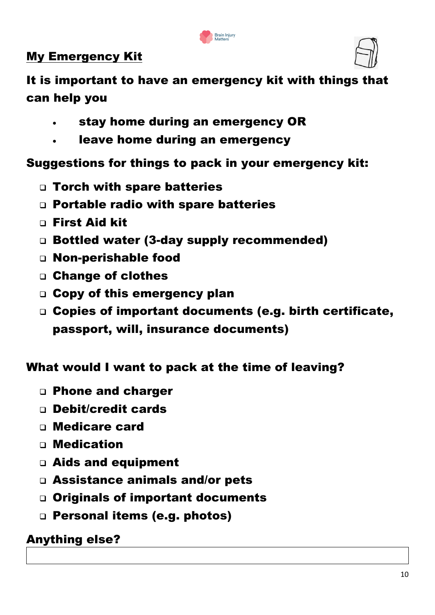

#### My Emergency Kit



It is important to have an emergency kit with things that can help you

- stay home during an emergency OR
- leave home during an emergency

#### Suggestions for things to pack in your emergency kit:

- ❑ Torch with spare batteries
- ❑ Portable radio with spare batteries
- ❑ First Aid kit
- ❑ Bottled water (3-day supply recommended)
- ❑ Non-perishable food
- ❑ Change of clothes
- ❑ Copy of this emergency plan
- ❑ Copies of important documents (e.g. birth certificate, passport, will, insurance documents)

#### What would I want to pack at the time of leaving?

- ❑ Phone and charger
- □ Debit/credit cards
- ❑ Medicare card
- □ Medication
- ❑ Aids and equipment
- ❑ Assistance animals and/or pets
- ❑ Originals of important documents
- ❑ Personal items (e.g. photos)

# Anything else?